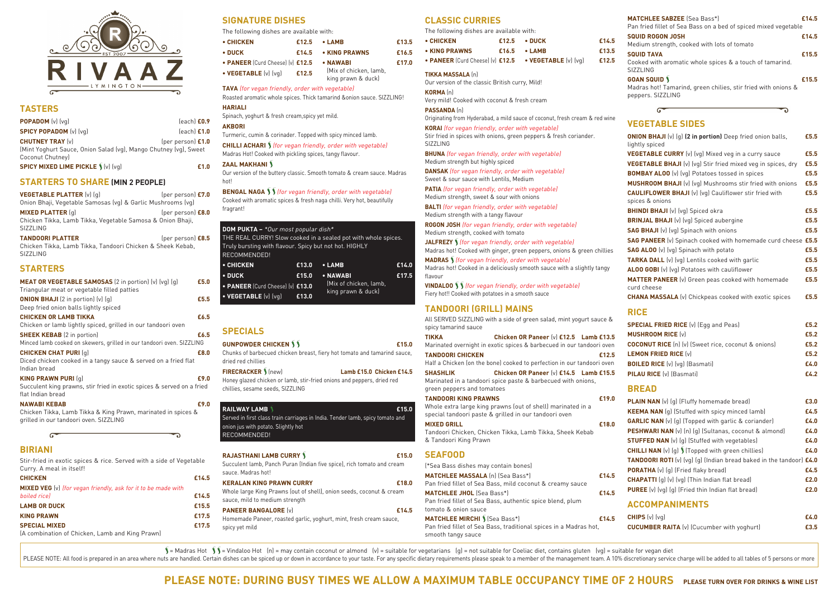

#### **TASTERS**

| <b>POPADOM</b> $(v)$ $(vq)$                                      | $[each]$ $E0.9$     |
|------------------------------------------------------------------|---------------------|
| <b>SPICY POPADOM</b> (v) (vg)                                    | $[each]$ $E1.0$     |
| <b>CHUTNEY TRAY [v]</b>                                          | (per person) $£1.0$ |
| (Mint Yoghurt Sauce, Onion Salad (vg), Mango Chutney (vg), Sweet |                     |
| Coconut Chutney)                                                 |                     |

**SPICY MIXED LIME PICKLE**  $\int (v)(vq)$  *E1.0* 

#### **STARTERS TO SHARE (MIN 2 PEOPLE)**

**VEGETABLE PLATTER** (v) (q) (per person) **£7.0** Onion Bhaji, Vegetable Samosas (vg) & Garlic Mushrooms (vg) **MIXED PLATTER** (g) (per person) **£8.0** Chicken Tikka, Lamb Tikka, Vegetable Samosa & Onion Bhaji, SIZZLING **TANDOORI PLATTER** (per person) **£8.5**

Chicken Tikka, Lamb Tikka, Tandoori Chicken & Sheek Kebab, SIZZLING

# **STARTERS**

| MEAT OR VEGETABLE SAMOSAS (2 in portion) (v) (vg) (g)                  | £5.0 |
|------------------------------------------------------------------------|------|
| Triangular meat or vegetable filled patties                            |      |
| <b>ONION BHAJI</b> (2 in portion) $(v)$ $(q)$                          | £5.5 |
| Deep fried onion balls lightly spiced                                  |      |
| <b>CHICKEN OR LAMB TIKKA</b>                                           | £6.5 |
| Chicken or lamb lightly spiced, grilled in our tandoori oven           |      |
| <b>SHEEK KEBAB</b> (2 in portion)                                      | £6.5 |
| Minced lamb cooked on skewers, grilled in our tandoori oven. SIZZLING  |      |
| <b>CHICKEN CHAT PURI (q)</b>                                           | £8.0 |
| Diced chicken cooked in a tangy sauce & served on a fried flat         |      |
| Indian bread                                                           |      |
| <b>KING PRAWN PURI (g)</b>                                             | £9.0 |
| Succulent king prawns, stir fried in exotic spices & served on a fried |      |
| flat Indian bread                                                      |      |
| <b>NAWABI KEBAB</b>                                                    | £9.N |
| Chicken Tikka, Lamb Tikka & King Prawn, marinated in spices &          |      |
| grilled in our tandoori oven. SIZZLING                                 |      |
| ι.                                                                     |      |
| DIDIANI                                                                |      |

**CHILLI ACHARI** *(for vegan friendly, order with vegetable)* Madras Hot! Cooked with pickling spices, tangy flavour.

**BENGAL NAGA**  $\int$   $\int$  *for vegan friendly, order with vegetable)* Cooked with aromatic spices & fresh naga chilli. Very hot, beautifully fragrant!

# **BIRIANI**

Stir-fried in exotic spices & rice. Served with a side of Vegetable Curry. A meal in itself!

| <b>CHICKEN</b>                                                       | £14.5 |
|----------------------------------------------------------------------|-------|
| <b>MIXED VEG</b> (v) (for vegan friendly, ask for it to be made with |       |
| boiled rice)                                                         | £14.5 |
| <b>LAMB OR DUCK</b>                                                  | £15.5 |
| <b>KING PRAWN</b>                                                    | £17.5 |
| <b>SPECIAL MIXED</b>                                                 | £17.5 |
| (A combination of Chicken, Lamb and King Prawn)                      |       |

**KERALAN KING PRAWN CURRY £18.0** Whole large King Prawns (out of shell), onion seeds, coconut & cream sauce, mild to medium strength **PANEER BANGALORE** (v) **£14.5** 

# **SIGNATURE DISHES**

The following dishes are available with:

**TAVA** (for vegan friendly, order with vegetable)

Roasted aromatic whole spices. Thick tamarind &onion sauce. SIZZLING!

#### **HARIALI**

Spinach, yoghurt & fresh cream,spicy yet mild.

#### **AKBORI**

Turmeric, cumin & corinader. Topped with spicy minced lamb.

#### **ZAAL MAKHANI**

Our version of the buttery classic. Smooth tomato & cream sauce. Madras hot!

# **SPECIALS**

**GUNPOWDER CHICKEN**  $\sqrt{2}$ Chunks of barbecued chicken breast, fiery hot tomato and tamarind sauce, dried red chillies **FIRECRACKER** (new) **Lamb £15.0 Chicken £14.5** 

Honey glazed chicken or lamb, stir-fried onions and peppers, dried red chillies, sesame seeds, SIZZLING

| <b>RAILWAY LAMB</b><br>Served in first class train carriages in India. Tender lamb, spicy tomato and<br>onion jus with potato. Slightly hot<br>RECOMMENDED! | £15.0 |
|-------------------------------------------------------------------------------------------------------------------------------------------------------------|-------|
| <b>RAJASTHANI LAMB CURRY S</b><br>Cucculant langh. Dan ah Dunan (Indian fiya anisa), nigh tanaata and anaana.                                               | £15.0 |

Succulent lamb, Panch Puran (Indian five spice), rich tomato and cream sauce. Madras hot!

Homemade Paneer, roasted garlic, yoghurt, mint, fresh cream sauce, spicy yet mild

| • CHICKEN                        | £12.5 | $\bullet$ LAMB                               | £13.5 |
|----------------------------------|-------|----------------------------------------------|-------|
| • DUCK                           | £14.5 | • KING PRAWNS                                | £16.5 |
| • PANEER (Curd Cheese) (v) £12.5 |       | • NAWABI                                     | £17.0 |
| • VEGETABLE (v) (vg)             | £12.5 | (Mix of chicken, lamb,<br>king prawn & duck) |       |

| <b>DOM PUKTA - *</b> Our most popular dish*<br>Truly bursting with flavour. Spicy but not hot. HIGHLY<br>RECOMMENDED! |       | THE REAL CURRY! Slow cooked in a sealed pot with whole spices. |       |
|-----------------------------------------------------------------------------------------------------------------------|-------|----------------------------------------------------------------|-------|
| • CHICKEN                                                                                                             | £13.0 | $\bullet$ LAMB                                                 | £14.0 |
| $\bullet$ DUCK                                                                                                        | £15.0 | • NAWABI                                                       | £17.5 |
| • PANEER (Curd Cheese) (v) £13.0                                                                                      |       | (Mix of chicken, lamb,                                         |       |
| • VEGETABLE (v) (vq)                                                                                                  | £13.0 | king prawn & duck)                                             |       |

| <b>CLASSIC CURRIES</b>                                                                                        |       |                                                                                                                 |       | <b>MATCHLEE SABZEE</b> (Sea Bass*)                                                                                        | £14.5        |
|---------------------------------------------------------------------------------------------------------------|-------|-----------------------------------------------------------------------------------------------------------------|-------|---------------------------------------------------------------------------------------------------------------------------|--------------|
| The following dishes are available with:                                                                      |       |                                                                                                                 |       | Pan fried fillet of Sea Bass on a bed of spiced mixed vegetable<br><b>SQUID ROGON JOSH</b>                                | £14.5        |
| • CHICKEN                                                                                                     | £12.5 | • DUCK                                                                                                          | £14.5 | Medium strength, cooked with lots of tomato                                                                               |              |
| • KING PRAWNS                                                                                                 | £16.5 | $\bullet$ LAMB                                                                                                  | £13.5 | <b>SQUID TAVA</b>                                                                                                         | £15.5        |
| • PANEER (Curd Cheese) (v) £12.5                                                                              |       | • VEGETABLE (v) (vq)                                                                                            | £12.5 | Cooked with aromatic whole spices & a touch of tamarind.<br><b>SIZZLING</b>                                               |              |
| <b>TIKKA MASSALA (n)</b><br>Our version of the classic British curry, Mild!                                   |       |                                                                                                                 |       | <b>GOAN SQUID \</b>                                                                                                       | £15.5        |
| <b>KORMA</b> (n)<br>Very mild! Cooked with coconut & fresh cream                                              |       |                                                                                                                 |       | Madras hot! Tamarind, green chilies, stir fried with onions &<br>peppers. SIZZLING                                        |              |
| PASSANDA (n)                                                                                                  |       |                                                                                                                 |       | G                                                                                                                         |              |
|                                                                                                               |       | Originating from Hyderabad, a mild sauce of coconut, fresh cream & red wine                                     |       | <b>VEGETABLE SIDES</b>                                                                                                    |              |
| KORAI (for vegan friendly, order with vegetable)                                                              |       |                                                                                                                 |       |                                                                                                                           |              |
| <b>SIZZLING</b>                                                                                               |       | Stir fried in spices with onions, green peppers & fresh coriander.                                              |       | <b>ONION BHAJI</b> (v) (g) (2 in portion) Deep fried onion balls,<br>lightly spiced                                       | £5.5         |
| <b>BHUNA</b> (for vegan friendly, order with vegetable)<br>Medium strength but highly spiced                  |       |                                                                                                                 |       | <b>VEGETABLE CURRY</b> (v) (vg) Mixed veg in a curry sauce                                                                | £5.5         |
| <b>DANSAK</b> (for vegan friendly, order with vegetable)                                                      |       |                                                                                                                 |       | VEGETABLE BHAJI (v) (vg) Stir fried mixed veg in spices, dry                                                              | £5.5         |
| Sweet & sour sauce with Lentils, Medium                                                                       |       |                                                                                                                 |       | <b>BOMBAY ALOO</b> (v) (vg) Potatoes tossed in spices                                                                     | £5.5         |
| PATIA (for vegan friendly, order with vegetable)                                                              |       |                                                                                                                 |       | MUSHROOM BHAJI (v) (vg) Mushrooms stir fried with onions<br><b>CAULIFLOWER BHAJI</b> (v) (vg) Cauliflower stir fried with | £5.5<br>£5.5 |
| Medium strength, sweet & sour with onions                                                                     |       |                                                                                                                 |       | spices & onions                                                                                                           |              |
| <b>BALTI</b> (for vegan friendly, order with vegetable)                                                       |       |                                                                                                                 |       | <b>BHINDI BHAJI</b> (v) (vg) Spiced okra                                                                                  | £5.5         |
| Medium strength with a tangy flavour<br>ROGON JOSH (for vegan friendly, order with vegetable)                 |       |                                                                                                                 |       | <b>BRINJAL BHAJI</b> (v) (vg) Spiced aubergine                                                                            | £5.5         |
| Medium strength, cooked with tomato                                                                           |       |                                                                                                                 |       | <b>SAG BHAJI</b> (v) (vg) Spinach with onions                                                                             | £5.5         |
| JALFREZY \ (for vegan friendly, order with vegetable)                                                         |       |                                                                                                                 |       | SAG PANEER (v) Spinach cooked with homemade curd cheese £5.5                                                              |              |
|                                                                                                               |       | Madras hot! Cooked with ginger, green peppers, onions & green chillies                                          |       | <b>SAG ALOO</b> (v) (vg) Spinach with potato                                                                              | £5.5         |
| <b>MADRAS</b> <i>(for vegan friendly, order with vegetable)</i>                                               |       |                                                                                                                 |       | TARKA DALL (v) (vg) Lentils cooked with garlic                                                                            | £5.5         |
| flavour                                                                                                       |       | Madras hot! Cooked in a deliciously smooth sauce with a slightly tangy                                          |       | ALOO GOBI (v) (vg) Potatoes with cauliflower                                                                              | £5.5         |
| VINDALOO \ \ (for vegan friendly, order with vegetable)<br>Fiery hot!! Cooked with potatoes in a smooth sauce |       |                                                                                                                 |       | <b>MATTER PANEER</b> (v) Green peas cooked with homemade<br>curd cheese                                                   | £5.5         |
|                                                                                                               |       |                                                                                                                 |       | <b>CHANA MASSALA</b> (v) Chickpeas cooked with exotic spices                                                              | £5.5         |
| <b>TANDOORI (GRILL) MAINS</b>                                                                                 |       |                                                                                                                 |       | <b>RICE</b>                                                                                                               |              |
|                                                                                                               |       | All SERVED SIZZLING with a side of green salad, mint yogurt sauce &                                             |       | <b>SPECIAL FRIED RICE</b> (v) (Egg and Peas)                                                                              | £5.2         |
| spicy tamarind sauce                                                                                          |       |                                                                                                                 |       | <b>MUSHROOM RICE (v)</b>                                                                                                  | £5.2         |
| <b>TIKKA</b>                                                                                                  |       | Chicken OR Paneer [v] £12.5 Lamb £13.5<br>Marinated overnight in exotic spices & barbecued in our tandoori oven |       | <b>COCONUT RICE</b> (n) (v) (Sweet rice, coconut & onions)                                                                | £5.2         |
| <b>TANDOORI CHICKEN</b>                                                                                       |       |                                                                                                                 | £12.5 | <b>LEMON FRIED RICE [v]</b>                                                                                               | £5.2         |
|                                                                                                               |       | Half a Chicken (on the bone) cooked to perfection in our tandoori oven                                          |       | <b>BOILED RICE</b> (v) (vg) (Basmati)                                                                                     | £4.0         |
| <b>SHASHLIK</b>                                                                                               |       | Chicken OR Paneer (v) £14.5 Lamb £15.5                                                                          |       | PILAU RICE (v) (Basmati)                                                                                                  | £4.2         |
| green peppers and tomatoes                                                                                    |       | Marinated in a tandoori spice paste & barbecued with onions,                                                    |       | <b>BREAD</b>                                                                                                              |              |
| <b>TANDOORI KING PRAWNS</b>                                                                                   |       |                                                                                                                 | £19.0 | PLAIN NAN (v) (g) (Fluffy homemade bread)                                                                                 | £3.0         |
|                                                                                                               |       | Whole extra large king prawns (out of shell) marinated in a                                                     |       | <b>KEEMA NAN</b> (g) (Stuffed with spicy minced lamb)                                                                     | £4.5         |
| special tandoori paste & grilled in our tandoori oven                                                         |       |                                                                                                                 |       | <b>GARLIC NAN</b> (v) (g) (Topped with garlic & coriander)                                                                | £4.0         |
| <b>MIXED GRILL</b>                                                                                            |       | Tandoori Chicken, Chicken Tikka, Lamb Tikka, Sheek Kebab                                                        | £18.0 | PESHWARI NAN (v) (n) (g) (Sultanas, coconut & almond)                                                                     | £4.0         |
| & Tandoori King Prawn                                                                                         |       |                                                                                                                 |       | <b>STUFFED NAN</b> (v) (g) (Stuffed with vegetables)                                                                      | £4.0         |
|                                                                                                               |       |                                                                                                                 |       | <b>CHILLI NAN</b> (v) (g) ) (Topped with green chillies)                                                                  | £4.0         |
| <b>SEAFOOD</b><br>(*Sea Bass dishes may contain bones)                                                        |       |                                                                                                                 |       | TANDOORI ROTI (v) (vg) (g) (Indian bread baked in the tandoor) £4.0                                                       |              |
| MATCHLEE MASSALA (n) (Sea Bass*)                                                                              |       |                                                                                                                 | £14.5 | <b>PORATHA</b> (v) (g) (Fried flaky bread)                                                                                | £4.5         |
| Pan fried fillet of Sea Bass, mild coconut & creamy sauce                                                     |       |                                                                                                                 |       | <b>CHAPATTI</b> (g) (v) (vg) (Thin Indian flat bread)                                                                     | £2.0         |
| <b>MATCHLEE JHOL</b> (Sea Bass*)                                                                              |       |                                                                                                                 | £14.5 | <b>PUREE</b> (v) (vg) (g) (Fried thin Indian flat bread)                                                                  | £2.0         |
| Pan fried fillet of Sea Bass, authentic spice blend, plum                                                     |       |                                                                                                                 |       | <b>ACCOMPANIMENTS</b>                                                                                                     |              |
| tomato & onion sauce<br><b>MATCHLEE MIRCHI )</b> (Sea Bass*)                                                  |       |                                                                                                                 | £14.5 | <b>CHIPS</b> $(v)$ $(vg)$                                                                                                 | £4.0         |
|                                                                                                               |       | Pan fried fillet of Sea Bass, traditional spices in a Madras hot,                                               |       | <b>CUCUMBER RAITA</b> (v) (Cucumber with yoghurt)                                                                         | £3.5         |

 $\sum$  = Madras Hot  $\sum$  = Vindaloo Hot (n) = may contain coconut or almond (v) = suitable for vegetarians (g) = not suitable for Coeliac diet, contains gluten (vg) = suitable for vegan diet PLEASE NOTE: All food is prepared in an area where nuts are handled. Certain dishes can be spiced up or down in accordance to your taste. For any specific dietary requirements please speak to a member of the management tea

smooth tangy sauce

# **CUCUMBER RAITA** (v) (Cucumber with yoghurt) **£3.5**

# **PLEASE NOTE: DURING BUSY TIMES WE ALLOW A MAXIMUM TABLE OCCUPANCY TIME OF 2 HOURS PLEASE TURN OVER FOR DRINKS & WINE LIST**